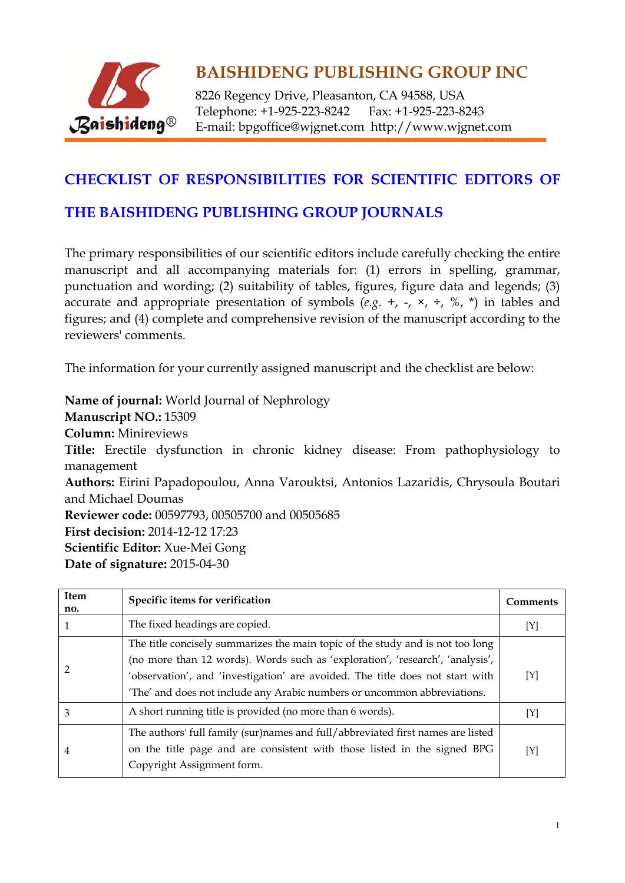

8226 Regency Drive, Pleasanton, CA 94588, USA Telephone: +1-925-223-8242 Fax: +1-925-223-8243 E-mail: bpgoffice@wjgnet.com http://www.wjgnet.com

#### **CHECKLIST OF RESPONSIBILITIES FOR SCIENTIFIC EDITORS OF**

#### **THE BAISHIDENG PUBLISHING GROUP JOURNALS**

The primary responsibilities of our scientific editors include carefully checking the entire manuscript and all accompanying materials for: (1) errors in spelling, grammar, punctuation and wording; (2) suitability of tables, figures, figure data and legends; (3) accurate and appropriate presentation of symbols  $(e.g. +, -, \times, \div, \%$ ,  $*)$  in tables and figures; and (4) complete and comprehensive revision of the manuscript according to the reviewers' comments.

The information for your currently assigned manuscript and the checklist are below:

**Name of journal:** World Journal of Nephrology **Manuscript NO.:** 15309 **Column:** Minireviews **Title:** Erectile dysfunction in chronic kidney disease: From pathophysiology to management **Authors:** Eirini Papadopoulou, Anna Varouktsi, Antonios Lazaridis, Chrysoula Boutari and Michael Doumas **Reviewer code:** 00597793, 00505700 and 00505685 **First decision:** 2014-12-12 17:23 **Scientific Editor:** Xue-Mei Gong **Date of signature:** 2015-04-30

| <b>Item</b><br>no. | Specific items for verification                                                                                                                                                                                                                                                                                              | <b>Comments</b> |
|--------------------|------------------------------------------------------------------------------------------------------------------------------------------------------------------------------------------------------------------------------------------------------------------------------------------------------------------------------|-----------------|
|                    | The fixed headings are copied.                                                                                                                                                                                                                                                                                               | [Y]             |
|                    | The title concisely summarizes the main topic of the study and is not too long<br>(no more than 12 words). Words such as 'exploration', 'research', 'analysis',<br>'observation', and 'investigation' are avoided. The title does not start with<br>'The' and does not include any Arabic numbers or uncommon abbreviations. | [Y]             |
| 3                  | A short running title is provided (no more than 6 words).                                                                                                                                                                                                                                                                    | [Y]             |
| 4                  | The authors' full family (sur)names and full/abbreviated first names are listed<br>on the title page and are consistent with those listed in the signed BPG<br>Copyright Assignment form.                                                                                                                                    | [Y]             |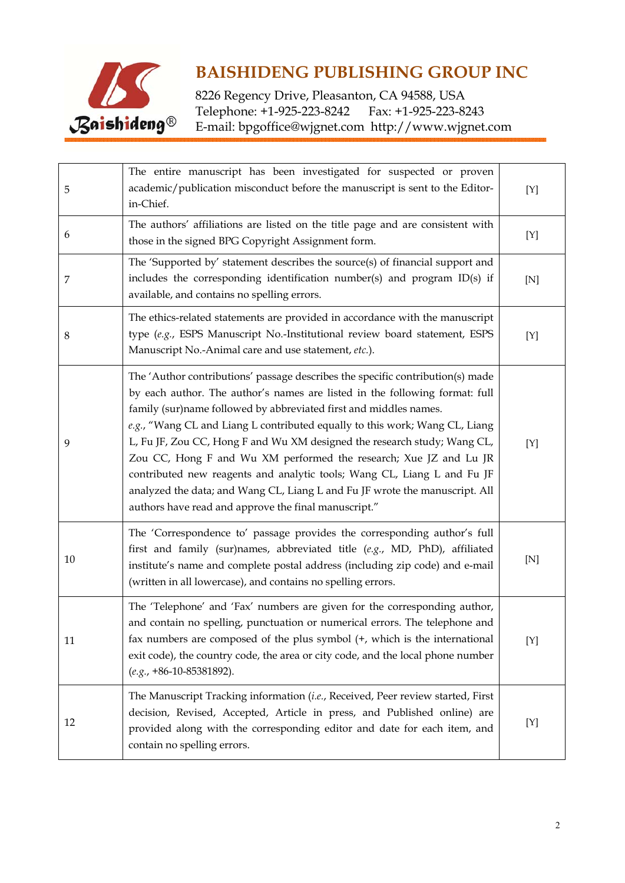

| 5  | The entire manuscript has been investigated for suspected or proven<br>academic/publication misconduct before the manuscript is sent to the Editor-<br>in-Chief.                                                                                                                                                                                                                                                                                                                                                                                                                                                                                                                     | [Y]         |
|----|--------------------------------------------------------------------------------------------------------------------------------------------------------------------------------------------------------------------------------------------------------------------------------------------------------------------------------------------------------------------------------------------------------------------------------------------------------------------------------------------------------------------------------------------------------------------------------------------------------------------------------------------------------------------------------------|-------------|
| 6  | The authors' affiliations are listed on the title page and are consistent with<br>those in the signed BPG Copyright Assignment form.                                                                                                                                                                                                                                                                                                                                                                                                                                                                                                                                                 | [Y]         |
| 7  | The 'Supported by' statement describes the source(s) of financial support and<br>includes the corresponding identification number(s) and program ID(s) if<br>available, and contains no spelling errors.                                                                                                                                                                                                                                                                                                                                                                                                                                                                             | [N]         |
| 8  | The ethics-related statements are provided in accordance with the manuscript<br>type (e.g., ESPS Manuscript No.-Institutional review board statement, ESPS<br>Manuscript No.-Animal care and use statement, etc.).                                                                                                                                                                                                                                                                                                                                                                                                                                                                   | [Y]         |
| 9  | The 'Author contributions' passage describes the specific contribution(s) made<br>by each author. The author's names are listed in the following format: full<br>family (sur)name followed by abbreviated first and middles names.<br>e.g., "Wang CL and Liang L contributed equally to this work; Wang CL, Liang<br>L, Fu JF, Zou CC, Hong F and Wu XM designed the research study; Wang CL,<br>Zou CC, Hong F and Wu XM performed the research; Xue JZ and Lu JR<br>contributed new reagents and analytic tools; Wang CL, Liang L and Fu JF<br>analyzed the data; and Wang CL, Liang L and Fu JF wrote the manuscript. All<br>authors have read and approve the final manuscript." | [Y]         |
| 10 | The 'Correspondence to' passage provides the corresponding author's full<br>first and family (sur)names, abbreviated title (e.g., MD, PhD), affiliated<br>institute's name and complete postal address (including zip code) and e-mail<br>(written in all lowercase), and contains no spelling errors.                                                                                                                                                                                                                                                                                                                                                                               | [N]         |
| 11 | The 'Telephone' and 'Fax' numbers are given for the corresponding author,<br>and contain no spelling, punctuation or numerical errors. The telephone and<br>fax numbers are composed of the plus symbol $(+,$ which is the international<br>exit code), the country code, the area or city code, and the local phone number<br>$(e.g., +86-10-85381892).$                                                                                                                                                                                                                                                                                                                            | $[{\rm Y}]$ |
| 12 | The Manuscript Tracking information (i.e., Received, Peer review started, First<br>decision, Revised, Accepted, Article in press, and Published online) are<br>provided along with the corresponding editor and date for each item, and<br>contain no spelling errors.                                                                                                                                                                                                                                                                                                                                                                                                               | [Y]         |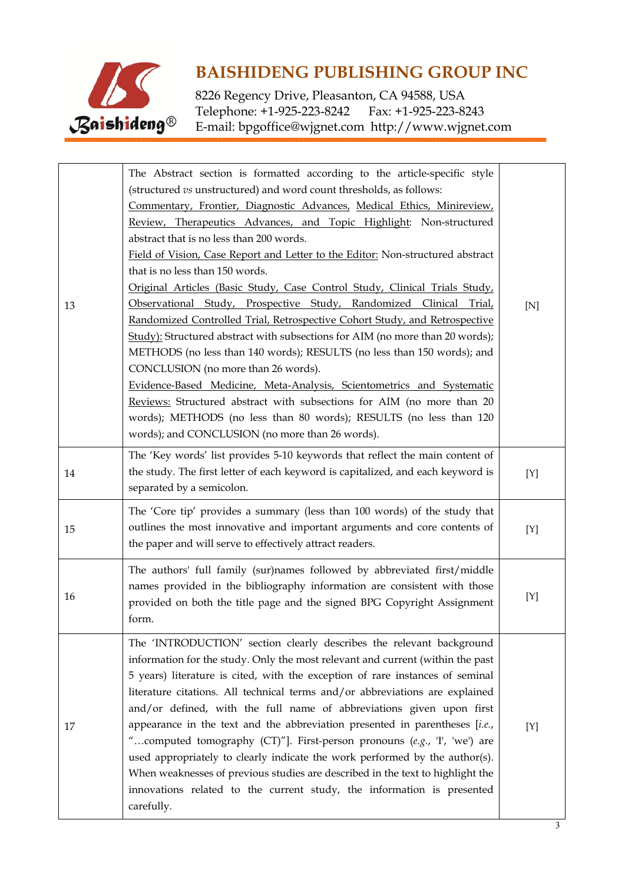

| 13 | The Abstract section is formatted according to the article-specific style<br>(structured vs unstructured) and word count thresholds, as follows:<br>Commentary, Frontier, Diagnostic Advances, Medical Ethics, Minireview,<br>Review, Therapeutics Advances, and Topic Highlight: Non-structured<br>abstract that is no less than 200 words.<br>Field of Vision, Case Report and Letter to the Editor: Non-structured abstract<br>that is no less than 150 words.<br>Original Articles (Basic Study, Case Control Study, Clinical Trials Study,<br>Observational Study, Prospective Study, Randomized Clinical Trial,<br>Randomized Controlled Trial, Retrospective Cohort Study, and Retrospective                                                                                                                   | [N] |
|----|-----------------------------------------------------------------------------------------------------------------------------------------------------------------------------------------------------------------------------------------------------------------------------------------------------------------------------------------------------------------------------------------------------------------------------------------------------------------------------------------------------------------------------------------------------------------------------------------------------------------------------------------------------------------------------------------------------------------------------------------------------------------------------------------------------------------------|-----|
|    | Study): Structured abstract with subsections for AIM (no more than 20 words);<br>METHODS (no less than 140 words); RESULTS (no less than 150 words); and<br>CONCLUSION (no more than 26 words).<br>Evidence-Based Medicine, Meta-Analysis, Scientometrics and Systematic<br>Reviews: Structured abstract with subsections for AIM (no more than 20<br>words); METHODS (no less than 80 words); RESULTS (no less than 120<br>words); and CONCLUSION (no more than 26 words).                                                                                                                                                                                                                                                                                                                                           |     |
| 14 | The 'Key words' list provides 5-10 keywords that reflect the main content of<br>the study. The first letter of each keyword is capitalized, and each keyword is<br>separated by a semicolon.                                                                                                                                                                                                                                                                                                                                                                                                                                                                                                                                                                                                                          | [Y] |
| 15 | The 'Core tip' provides a summary (less than 100 words) of the study that<br>outlines the most innovative and important arguments and core contents of<br>the paper and will serve to effectively attract readers.                                                                                                                                                                                                                                                                                                                                                                                                                                                                                                                                                                                                    | [Y] |
| 16 | The authors' full family (sur)names followed by abbreviated first/middle<br>names provided in the bibliography information are consistent with those<br>provided on both the title page and the signed BPG Copyright Assignment<br>form.                                                                                                                                                                                                                                                                                                                                                                                                                                                                                                                                                                              | [Y] |
| 17 | The 'INTRODUCTION' section clearly describes the relevant background<br>information for the study. Only the most relevant and current (within the past<br>5 years) literature is cited, with the exception of rare instances of seminal<br>literature citations. All technical terms and/or abbreviations are explained<br>and/or defined, with the full name of abbreviations given upon first<br>appearance in the text and the abbreviation presented in parentheses $[i.e.,$<br>"computed tomography (CT)"]. First-person pronouns (e.g., 'I', 'we') are<br>used appropriately to clearly indicate the work performed by the author(s).<br>When weaknesses of previous studies are described in the text to highlight the<br>innovations related to the current study, the information is presented<br>carefully. | [Y] |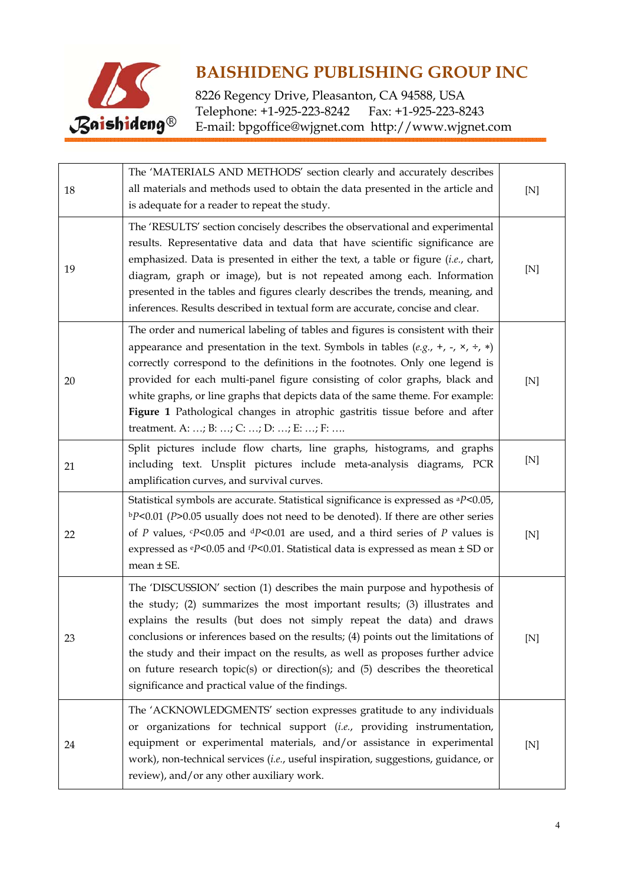

| 18 | The 'MATERIALS AND METHODS' section clearly and accurately describes<br>all materials and methods used to obtain the data presented in the article and<br>is adequate for a reader to repeat the study.                                                                                                                                                                                                                                                                                                                                           | $[{\rm N}]$ |
|----|---------------------------------------------------------------------------------------------------------------------------------------------------------------------------------------------------------------------------------------------------------------------------------------------------------------------------------------------------------------------------------------------------------------------------------------------------------------------------------------------------------------------------------------------------|-------------|
| 19 | The 'RESULTS' section concisely describes the observational and experimental<br>results. Representative data and data that have scientific significance are<br>emphasized. Data is presented in either the text, a table or figure (i.e., chart,<br>diagram, graph or image), but is not repeated among each. Information<br>presented in the tables and figures clearly describes the trends, meaning, and<br>inferences. Results described in textual form are accurate, concise and clear.                                                     | [N]         |
| 20 | The order and numerical labeling of tables and figures is consistent with their<br>appearance and presentation in the text. Symbols in tables $(e.g., +, -, x, \div, *)$<br>correctly correspond to the definitions in the footnotes. Only one legend is<br>provided for each multi-panel figure consisting of color graphs, black and<br>white graphs, or line graphs that depicts data of the same theme. For example:<br>Figure 1 Pathological changes in atrophic gastritis tissue before and after<br>treatment. A: ; B: ; C: ; D: ; E: ; F: | [N]         |
| 21 | Split pictures include flow charts, line graphs, histograms, and graphs<br>including text. Unsplit pictures include meta-analysis diagrams, PCR<br>amplification curves, and survival curves.                                                                                                                                                                                                                                                                                                                                                     | [N]         |
| 22 | Statistical symbols are accurate. Statistical significance is expressed as <sup>a</sup> P<0.05,<br>$bP<0.01$ (P>0.05 usually does not need to be denoted). If there are other series<br>of P values, $P<0.05$ and $dP<0.01$ are used, and a third series of P values is<br>expressed as $\text{eP}$ <0.05 and $\text{fP}$ <0.01. Statistical data is expressed as mean $\pm$ SD or<br>$mean \pm SE$ .                                                                                                                                             | [N]         |
| 23 | The 'DISCUSSION' section (1) describes the main purpose and hypothesis of<br>the study; (2) summarizes the most important results; (3) illustrates and<br>explains the results (but does not simply repeat the data) and draws<br>conclusions or inferences based on the results; (4) points out the limitations of<br>the study and their impact on the results, as well as proposes further advice<br>on future research topic(s) or direction(s); and (5) describes the theoretical<br>significance and practical value of the findings.       | [N]         |
| 24 | The 'ACKNOWLEDGMENTS' section expresses gratitude to any individuals<br>or organizations for technical support (i.e., providing instrumentation,<br>equipment or experimental materials, and/or assistance in experimental<br>work), non-technical services (i.e., useful inspiration, suggestions, guidance, or<br>review), and/or any other auxiliary work.                                                                                                                                                                                     | [N]         |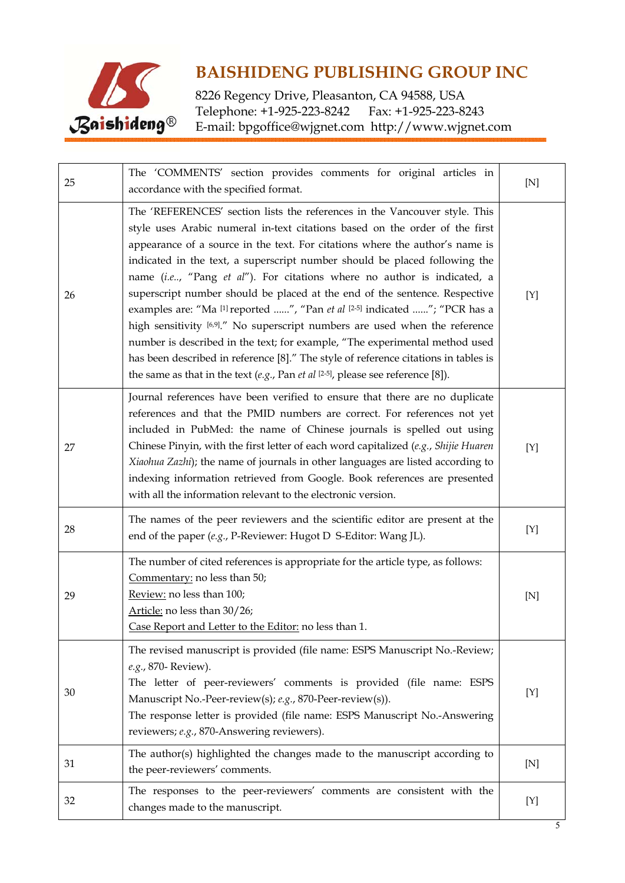

| 25 | The 'COMMENTS' section provides comments for original articles in<br>accordance with the specified format.                                                                                                                                                                                                                                                                                                                                                                                                                                                                                                                                                                                                                                                                                                                                                                                               | [N] |
|----|----------------------------------------------------------------------------------------------------------------------------------------------------------------------------------------------------------------------------------------------------------------------------------------------------------------------------------------------------------------------------------------------------------------------------------------------------------------------------------------------------------------------------------------------------------------------------------------------------------------------------------------------------------------------------------------------------------------------------------------------------------------------------------------------------------------------------------------------------------------------------------------------------------|-----|
| 26 | The 'REFERENCES' section lists the references in the Vancouver style. This<br>style uses Arabic numeral in-text citations based on the order of the first<br>appearance of a source in the text. For citations where the author's name is<br>indicated in the text, a superscript number should be placed following the<br>name (i.e, "Pang et al"). For citations where no author is indicated, a<br>superscript number should be placed at the end of the sentence. Respective<br>examples are: "Ma [1] reported ", "Pan et al [2-5] indicated "; "PCR has a<br>high sensitivity [6,9]." No superscript numbers are used when the reference<br>number is described in the text; for example, "The experimental method used<br>has been described in reference [8]." The style of reference citations in tables is<br>the same as that in the text $(e.g., Pan et al [2-5], please see reference [8]).$ | [Y] |
| 27 | Journal references have been verified to ensure that there are no duplicate<br>references and that the PMID numbers are correct. For references not yet<br>included in PubMed: the name of Chinese journals is spelled out using<br>Chinese Pinyin, with the first letter of each word capitalized (e.g., Shijie Huaren<br>Xiaohua Zazhi); the name of journals in other languages are listed according to<br>indexing information retrieved from Google. Book references are presented<br>with all the information relevant to the electronic version.                                                                                                                                                                                                                                                                                                                                                  | [Y] |
| 28 | The names of the peer reviewers and the scientific editor are present at the<br>end of the paper (e.g., P-Reviewer: Hugot D S-Editor: Wang JL).                                                                                                                                                                                                                                                                                                                                                                                                                                                                                                                                                                                                                                                                                                                                                          | [Y] |
| 29 | The number of cited references is appropriate for the article type, as follows:<br>Commentary: no less than 50;<br>Review: no less than 100;<br>Article: no less than 30/26;<br>Case Report and Letter to the Editor: no less than 1.                                                                                                                                                                                                                                                                                                                                                                                                                                                                                                                                                                                                                                                                    | [N] |
| 30 | The revised manuscript is provided (file name: ESPS Manuscript No.-Review;<br>e.g., 870- Review).<br>The letter of peer-reviewers' comments is provided (file name: ESPS<br>Manuscript No.-Peer-review(s); e.g., 870-Peer-review(s)).<br>The response letter is provided (file name: ESPS Manuscript No.-Answering<br>reviewers; e.g., 870-Answering reviewers).                                                                                                                                                                                                                                                                                                                                                                                                                                                                                                                                         | [Y] |
| 31 | The author(s) highlighted the changes made to the manuscript according to<br>the peer-reviewers' comments.                                                                                                                                                                                                                                                                                                                                                                                                                                                                                                                                                                                                                                                                                                                                                                                               | [N] |
| 32 | The responses to the peer-reviewers' comments are consistent with the<br>changes made to the manuscript.                                                                                                                                                                                                                                                                                                                                                                                                                                                                                                                                                                                                                                                                                                                                                                                                 | [Y] |